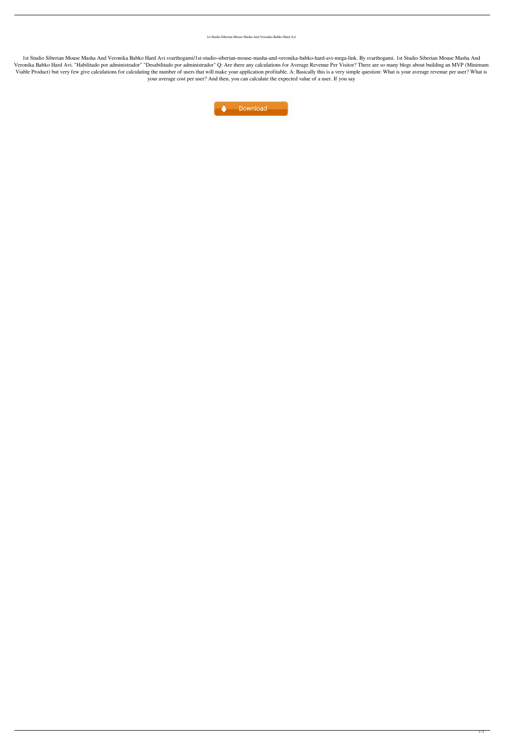1st Studio Siberian Mouse Masha And Veronika Babko Hard Avi

1st Studio Siberian Mouse Masha And Veronika Babko Hard Avi svarthogami/1st-studio-siberian-mouse-masha-and-veronika-babko-hard-avi-mega-link. By svarthogami. 1st Studio Siberian Mouse Masha And Veronika Babko Hard Avi. "Habilitado por administrador" "Desabilitado por administrador" Q: Are there any calculations for Average Revenue Per Visitor? There are so many blogs about building an MVP (Minimum Viable Product) but very few give calculations for calculating the number of users that will make your application profitable. A: Basically this is a very simple question: What is your average revenue per user? What is your average cost per user? And then, you can calculate the expected value of a user. If you say